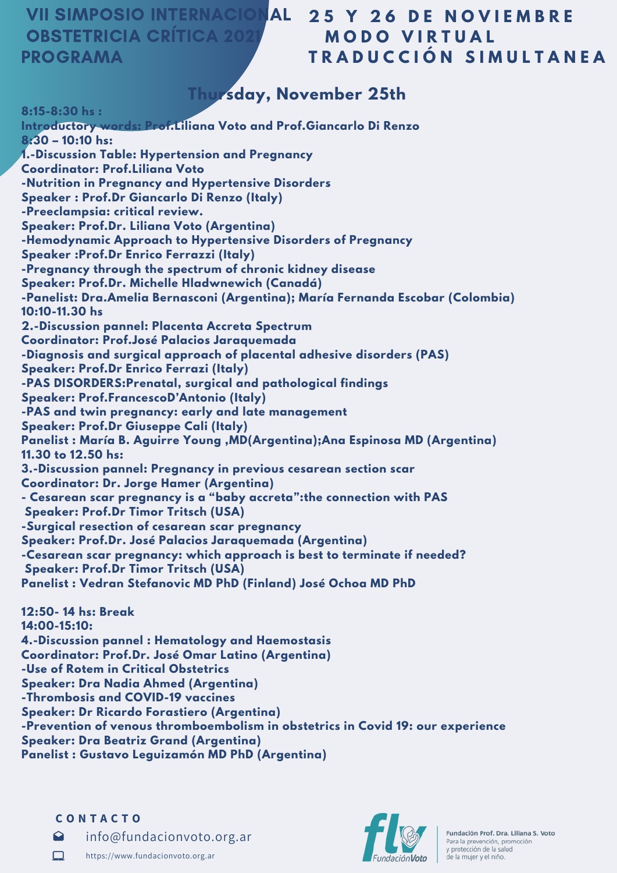### **VII SIMPOSIO INTERNACION OBSTETRICIA CRÍTICA 202** PROGRAMA

## **2 5 Y 2 6 D E N O V I E M B R E M O D O V I R T U A L T R A D U C C I Ó N S I M U L T A N E A**

# **Thursday, November 25th**

**8:15-8:30 hs : Introductory words: Prof.Liliana Voto and Prof.Giancarlo Di Renzo 8:30 – 10:10 hs: 1.-Discussion Table: Hypertension and Pregnancy Coordinator: Prof.Liliana Voto -Nutrition in Pregnancy and Hypertensive Disorders Speaker : Prof.Dr Giancarlo Di Renzo (Italy) -Preeclampsia: critical review. Speaker: Prof.Dr. Liliana Voto (Argentina) -Hemodynamic Approach to Hypertensive Disorders of Pregnancy Speaker :Prof.Dr Enrico Ferrazzi (Italy) -Pregnancy through the spectrum of chronic kidney disease Speaker: Prof.Dr. Michelle Hladwnewich (Canadá) -Panelist: Dra.Amelia Bernasconi (Argentina); María Fernanda Escobar (Colombia) 10:10-11.30 hs 2.-Discussion pannel: Placenta Accreta Spectrum Coordinator: Prof.José Palacios Jaraquemada -Diagnosis and surgical approach of placental adhesive disorders (PAS) Speaker: Prof.Dr Enrico Ferrazi (Italy) -PAS DISORDERS:Prenatal, surgical and pathological findings Speaker: Prof.FrancescoD'Antonio (Italy) -PAS and twin pregnancy: early and late management Speaker: Prof.Dr Giuseppe Cali (Italy) Panelist : María B. Aguirre Young ,MD(Argentina);Ana Espinosa MD (Argentina) 11.30 to 12.50 hs: 3.-Discussion pannel: Pregnancy in previous cesarean section scar Coordinator: Dr. Jorge Hamer (Argentina) - Cesarean scar pregnancy is a "baby accreta":the connection with PAS Speaker: Prof.Dr Timor Tritsch (USA) -Surgical resection of cesarean scar pregnancy Speaker: Prof.Dr. José Palacios Jaraquemada (Argentina) -Cesarean scar pregnancy: which approach is best to terminate if needed? Speaker: Prof.Dr Timor Tritsch (USA) Panelist : Vedran Stefanovic MD PhD (Finland) José Ochoa MD PhD 12:50- 14 hs: Break**

**14:00-15:10: 4.-Discussion pannel : Hematology and Haemostasis Coordinator: Prof.Dr. José Omar Latino (Argentina) -Use of Rotem in Critical Obstetrics Speaker: Dra Nadia Ahmed (Argentina) -Thrombosis and COVID-19 vaccines Speaker: Dr Ricardo Forastiero (Argentina) -Prevention of venous thromboembolism in obstetrics in Covid 19: our experience Speaker: Dra Beatriz Grand (Argentina) Panelist : Gustavo Leguizamón MD PhD (Argentina)**

#### **C O N T A C T O**

 $\Omega$ info@fundacionvoto.org.ar





Fundación Prof. Dra. Liliana S. Voto Para la prevención, promoción y protección de la salud de la mujer y el niño.